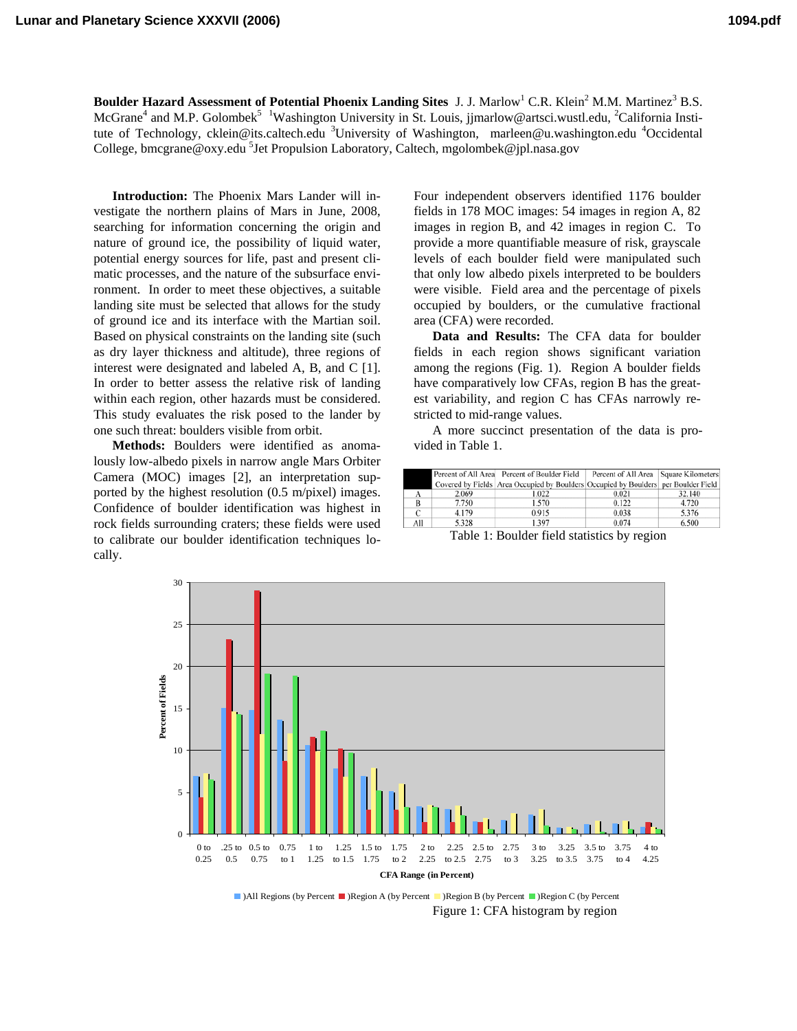**Boulder Hazard Assessment of Potential Phoenix Landing Sites J. J. Marlow<sup>1</sup> C.R. Klein<sup>2</sup> M.M. Martinez<sup>3</sup> B.S.** McGrane<sup>4</sup> and M.P. Golombek<sup>5</sup> <sup>1</sup>Washington University in St. Louis, jjmarlow@artsci.wustl.edu, <sup>2</sup>California Institute of Technology, cklein@its.caltech.edu <sup>3</sup>University of Washington, marleen@u.washington.edu <sup>4</sup>Occidental College, bmcgrane@oxy.edu <sup>5</sup>Jet Propulsion Laboratory, Caltech, mgolombek@jpl.nasa.gov

**Introduction:** The Phoenix Mars Lander will investigate the northern plains of Mars in June, 2008, searching for information concerning the origin and nature of ground ice, the possibility of liquid water, potential energy sources for life, past and present climatic processes, and the nature of the subsurface environment. In order to meet these objectives, a suitable landing site must be selected that allows for the study of ground ice and its interface with the Martian soil. Based on physical constraints on the landing site (such as dry layer thickness and altitude), three regions of interest were designated and labeled A, B, and C [1]. In order to better assess the relative risk of landing within each region, other hazards must be considered. This study evaluates the risk posed to the lander by one such threat: boulders visible from orbit.

**Methods:** Boulders were identified as anomalously low-albedo pixels in narrow angle Mars Orbiter Camera (MOC) images [2], an interpretation supported by the highest resolution (0.5 m/pixel) images. Confidence of boulder identification was highest in rock fields surrounding craters; these fields were used to calibrate our boulder identification techniques locally.

Four independent observers identified 1176 boulder fields in 178 MOC images: 54 images in region A, 82 images in region B, and 42 images in region C. To provide a more quantifiable measure of risk, grayscale levels of each boulder field were manipulated such that only low albedo pixels interpreted to be boulders were visible. Field area and the percentage of pixels occupied by boulders, or the cumulative fractional area (CFA) were recorded.

**Data and Results:** The CFA data for boulder fields in each region shows significant variation among the regions (Fig. 1). Region A boulder fields have comparatively low CFAs, region B has the greatest variability, and region C has CFAs narrowly restricted to mid-range values.

A more succinct presentation of the data is provided in Table 1.

|     |       | Percent of All Area Percent of Boulder Field                                       | Percent of All Area Square Kilometers |        |
|-----|-------|------------------------------------------------------------------------------------|---------------------------------------|--------|
|     |       | Covered by Fields Area Occupied by Boulders Occupied by Boulders per Boulder Field |                                       |        |
|     | 2.069 | 1.022                                                                              | 0.021                                 | 32.140 |
| в   | 7.750 | 1.570                                                                              | 0.122                                 | 4.720  |
|     | 4.179 | 0.915                                                                              | 0.038                                 | 5.376  |
| All | 5.328 | 1.397                                                                              | 0.074                                 | 6.500  |

Table 1: Boulder field statistics by region



Figure 1: CFA histogram by region ■)All Regions (by Percent ■)Region A (by Percent ■)Region B (by Percent ■)Region C (by Percent